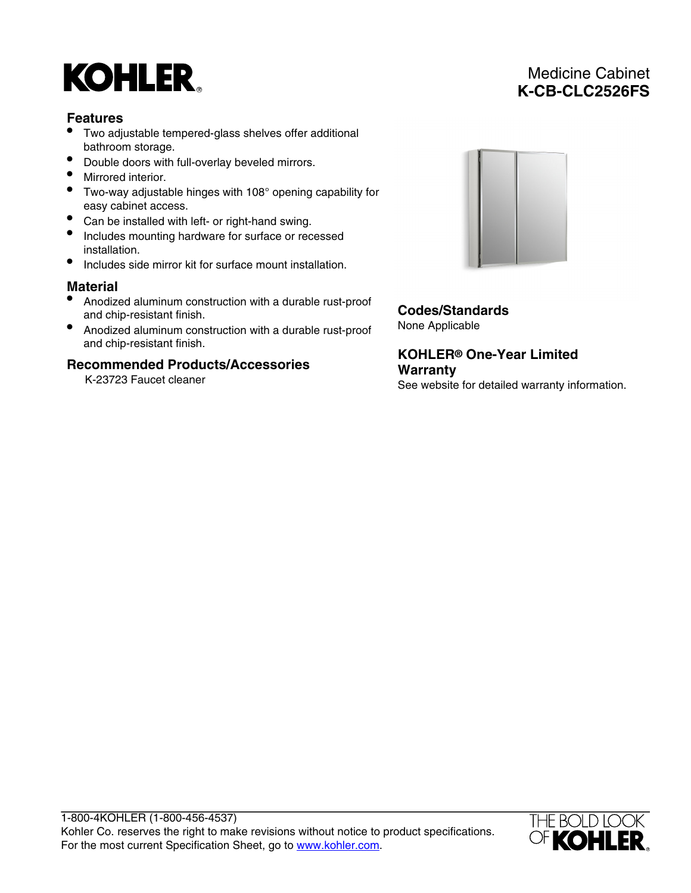# **KOHLER**

### **Features**

- Two adjustable tempered-glass shelves offer additional bathroom storage.
- Double doors with full-overlay beveled mirrors.
- Mirrored interior.
- Two-way adjustable hinges with 108° opening capability for easy cabinet access.
- Can be installed with left- or right-hand swing.
- Includes mounting hardware for surface or recessed installation.
- Includes side mirror kit for surface mount installation.

## **Material**

- Anodized aluminum construction with a durable rust-proof and chip-resistant finish.
- Anodized aluminum construction with a durable rust-proof and chip-resistant finish.

#### **Recommended Products/Accessories**

K-23723 Faucet cleaner



**Codes/Standards** None Applicable

**KOHLER® One-Year Limited Warranty** See website for detailed warranty information.

1-800-4KOHLER (1-800-456-4537) Kohler Co. reserves the right to make revisions without notice to product specifications. For the most current Specification Sheet, go to [www.kohler.com](http://www.kohler.com).



Medicine Cabinet **K-CB-CLC2526FS**